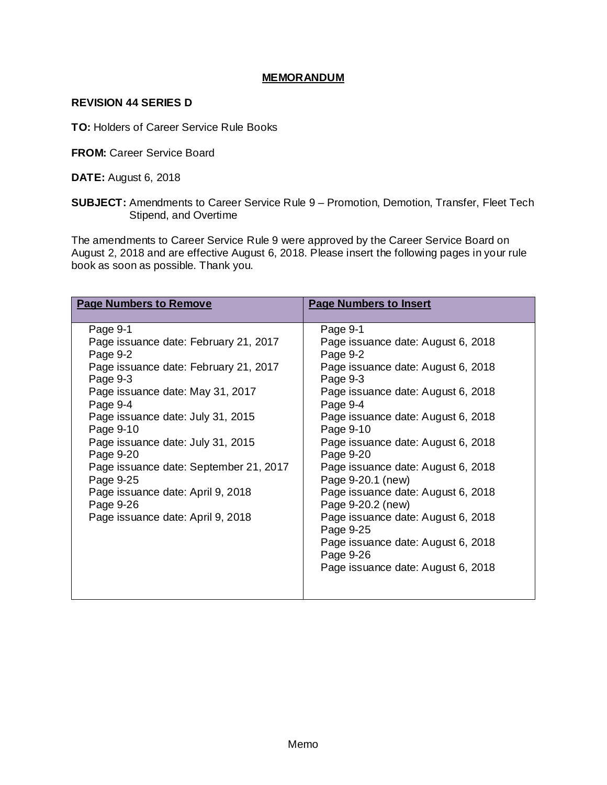### **MEMORANDUM**

### **REVISION 44 SERIES D**

**TO:** Holders of Career Service Rule Books

**FROM:** Career Service Board

**DATE:** August 6, 2018

**SUBJECT:** Amendments to Career Service Rule 9 – Promotion, Demotion, Transfer, Fleet Tech Stipend, and Overtime

The amendments to Career Service Rule 9 were approved by the Career Service Board on August 2, 2018 and are effective August 6, 2018. Please insert the following pages in your rule book as soon as possible. Thank you.

| <b>Page Numbers to Remove</b>          | <b>Page Numbers to Insert</b>      |  |  |
|----------------------------------------|------------------------------------|--|--|
|                                        |                                    |  |  |
| Page 9-1                               | Page 9-1                           |  |  |
| Page issuance date: February 21, 2017  | Page issuance date: August 6, 2018 |  |  |
| Page 9-2                               | Page 9-2                           |  |  |
| Page issuance date: February 21, 2017  | Page issuance date: August 6, 2018 |  |  |
| Page 9-3                               | Page 9-3                           |  |  |
| Page issuance date: May 31, 2017       | Page issuance date: August 6, 2018 |  |  |
| Page 9-4                               | Page 9-4                           |  |  |
| Page issuance date: July 31, 2015      | Page issuance date: August 6, 2018 |  |  |
| Page 9-10                              | Page 9-10                          |  |  |
| Page issuance date: July 31, 2015      | Page issuance date: August 6, 2018 |  |  |
| Page 9-20                              | Page 9-20                          |  |  |
| Page issuance date: September 21, 2017 | Page issuance date: August 6, 2018 |  |  |
| Page 9-25                              | Page 9-20.1 (new)                  |  |  |
| Page issuance date: April 9, 2018      | Page issuance date: August 6, 2018 |  |  |
| Page 9-26                              | Page 9-20.2 (new)                  |  |  |
| Page issuance date: April 9, 2018      | Page issuance date: August 6, 2018 |  |  |
|                                        | Page 9-25                          |  |  |
|                                        | Page issuance date: August 6, 2018 |  |  |
|                                        | Page 9-26                          |  |  |
|                                        | Page issuance date: August 6, 2018 |  |  |
|                                        |                                    |  |  |
|                                        |                                    |  |  |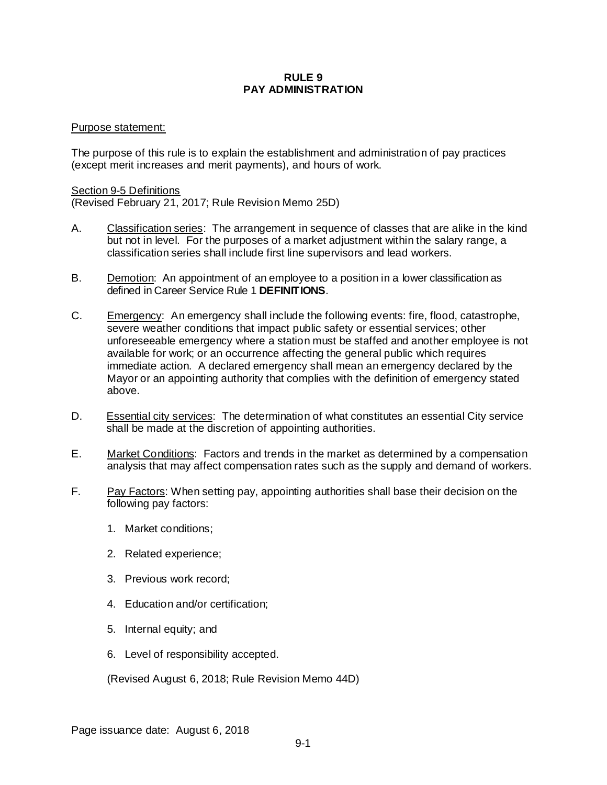### **RULE 9 PAY ADMINISTRATION**

### Purpose statement:

The purpose of this rule is to explain the establishment and administration of pay practices (except merit increases and merit payments), and hours of work.

#### Section 9-5 Definitions

(Revised February 21, 2017; Rule Revision Memo 25D)

- A. Classification series: The arrangement in sequence of classes that are alike in the kind but not in level. For the purposes of a market adjustment within the salary range, a classification series shall include first line supervisors and lead workers.
- B. Demotion: An appointment of an employee to a position in a lower classification as defined in Career Service Rule 1 **DEFINITIONS**.
- C. Emergency: An emergency shall include the following events: fire, flood, catastrophe, severe weather conditions that impact public safety or essential services; other unforeseeable emergency where a station must be staffed and another employee is not available for work; or an occurrence affecting the general public which requires immediate action. A declared emergency shall mean an emergency declared by the Mayor or an appointing authority that complies with the definition of emergency stated above.
- D. Essential city services: The determination of what constitutes an essential City service shall be made at the discretion of appointing authorities.
- E. Market Conditions: Factors and trends in the market as determined by a compensation analysis that may affect compensation rates such as the supply and demand of workers.
- F. Pay Factors: When setting pay, appointing authorities shall base their decision on the following pay factors:
	- 1. Market conditions;
	- 2. Related experience;
	- 3. Previous work record;
	- 4. Education and/or certification;
	- 5. Internal equity; and
	- 6. Level of responsibility accepted.

(Revised August 6, 2018; Rule Revision Memo 44D)

Page issuance date: August 6, 2018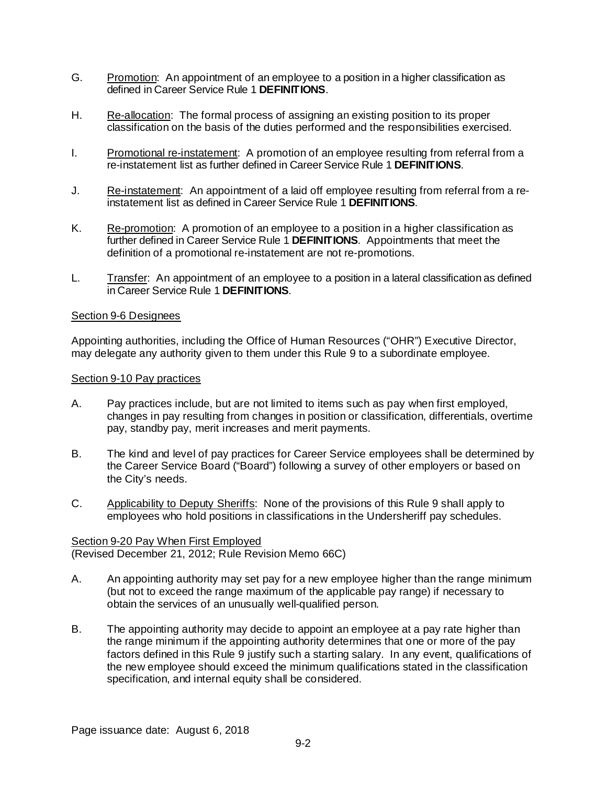- G. Promotion: An appointment of an employee to a position in a higher classification as defined in Career Service Rule 1 **DEFINITIONS**.
- H. Re-allocation: The formal process of assigning an existing position to its proper classification on the basis of the duties performed and the responsibilities exercised.
- I. Promotional re-instatement: A promotion of an employee resulting from referral from a re-instatement list as further defined in Career Service Rule 1 **DEFINITIONS**.
- J. Re-instatement: An appointment of a laid off employee resulting from referral from a reinstatement list as defined in Career Service Rule 1 **DEFINITIONS**.
- K. Re-promotion: A promotion of an employee to a position in a higher classification as further defined in Career Service Rule 1 **DEFINITIONS**. Appointments that meet the definition of a promotional re-instatement are not re-promotions.
- L. Transfer: An appointment of an employee to a position in a lateral classification as defined in Career Service Rule 1 **DEFINITIONS**.

### Section 9-6 Designees

Appointing authorities, including the Office of Human Resources ("OHR") Executive Director, may delegate any authority given to them under this Rule 9 to a subordinate employee.

### Section 9-10 Pay practices

- A. Pay practices include, but are not limited to items such as pay when first employed, changes in pay resulting from changes in position or classification, differentials, overtime pay, standby pay, merit increases and merit payments.
- B. The kind and level of pay practices for Career Service employees shall be determined by the Career Service Board ("Board") following a survey of other employers or based on the City's needs.
- C. Applicability to Deputy Sheriffs: None of the provisions of this Rule 9 shall apply to employees who hold positions in classifications in the Undersheriff pay schedules.

# Section 9-20 Pay When First Employed

(Revised December 21, 2012; Rule Revision Memo 66C)

- A. An appointing authority may set pay for a new employee higher than the range minimum (but not to exceed the range maximum of the applicable pay range) if necessary to obtain the services of an unusually well-qualified person.
- B. The appointing authority may decide to appoint an employee at a pay rate higher than the range minimum if the appointing authority determines that one or more of the pay factors defined in this Rule 9 justify such a starting salary. In any event, qualifications of the new employee should exceed the minimum qualifications stated in the classification specification, and internal equity shall be considered.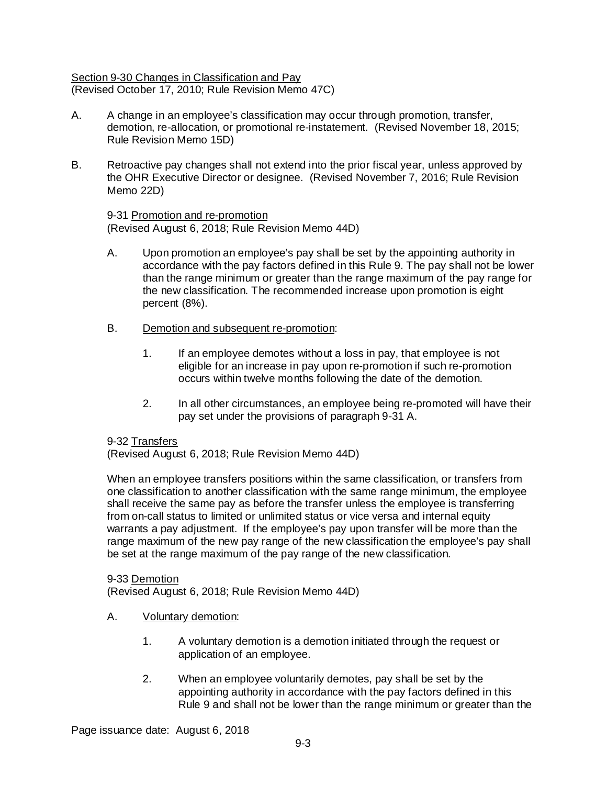### Section 9-30 Changes in Classification and Pay (Revised October 17, 2010; Rule Revision Memo 47C)

- A. A change in an employee's classification may occur through promotion, transfer, demotion, re-allocation, or promotional re-instatement. (Revised November 18, 2015; Rule Revision Memo 15D)
- B. Retroactive pay changes shall not extend into the prior fiscal year, unless approved by the OHR Executive Director or designee. (Revised November 7, 2016; Rule Revision Memo 22D)

9-31 Promotion and re-promotion (Revised August 6, 2018; Rule Revision Memo 44D)

- A. Upon promotion an employee's pay shall be set by the appointing authority in accordance with the pay factors defined in this Rule 9. The pay shall not be lower than the range minimum or greater than the range maximum of the pay range for the new classification. The recommended increase upon promotion is eight percent (8%).
- B. Demotion and subsequent re-promotion:
	- 1. If an employee demotes without a loss in pay, that employee is not eligible for an increase in pay upon re-promotion if such re-promotion occurs within twelve months following the date of the demotion.
	- 2. In all other circumstances, an employee being re-promoted will have their pay set under the provisions of paragraph 9-31 A.

# 9-32 Transfers

(Revised August 6, 2018; Rule Revision Memo 44D)

When an employee transfers positions within the same classification, or transfers from one classification to another classification with the same range minimum, the employee shall receive the same pay as before the transfer unless the employee is transferring from on-call status to limited or unlimited status or vice versa and internal equity warrants a pay adjustment. If the employee's pay upon transfer will be more than the range maximum of the new pay range of the new classification the employee's pay shall be set at the range maximum of the pay range of the new classification.

9-33 Demotion (Revised August 6, 2018; Rule Revision Memo 44D)

- A. Voluntary demotion:
	- 1. A voluntary demotion is a demotion initiated through the request or application of an employee.
	- 2. When an employee voluntarily demotes, pay shall be set by the appointing authority in accordance with the pay factors defined in this Rule 9 and shall not be lower than the range minimum or greater than the

Page issuance date: August 6, 2018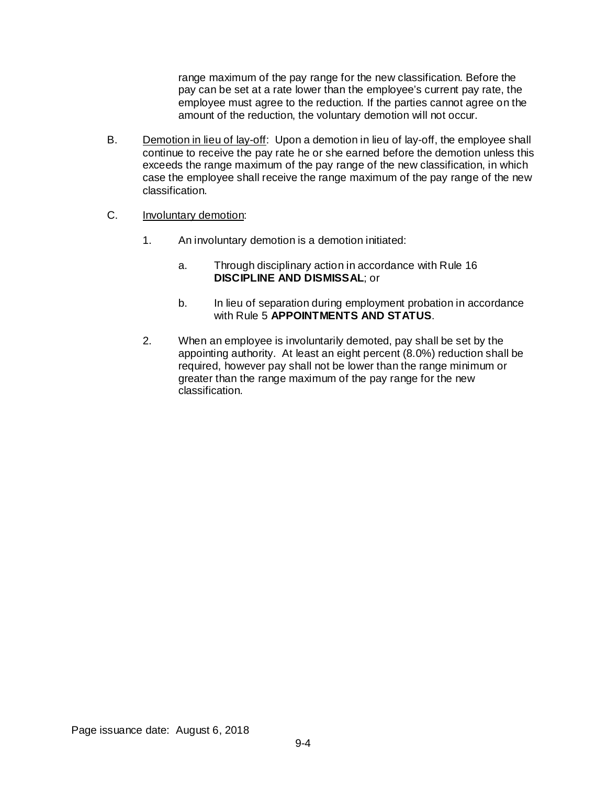range maximum of the pay range for the new classification. Before the pay can be set at a rate lower than the employee's current pay rate, the employee must agree to the reduction. If the parties cannot agree on the amount of the reduction, the voluntary demotion will not occur.

- B. Demotion in lieu of lay-off: Upon a demotion in lieu of lay-off, the employee shall continue to receive the pay rate he or she earned before the demotion unless this exceeds the range maximum of the pay range of the new classification, in which case the employee shall receive the range maximum of the pay range of the new classification.
- C. Involuntary demotion:
	- 1. An involuntary demotion is a demotion initiated:
		- a. Through disciplinary action in accordance with Rule 16 **DISCIPLINE AND DISMISSAL**; or
		- b. In lieu of separation during employment probation in accordance with Rule 5 **APPOINTMENTS AND STATUS**.
	- 2. When an employee is involuntarily demoted, pay shall be set by the appointing authority. At least an eight percent (8.0%) reduction shall be required, however pay shall not be lower than the range minimum or greater than the range maximum of the pay range for the new classification.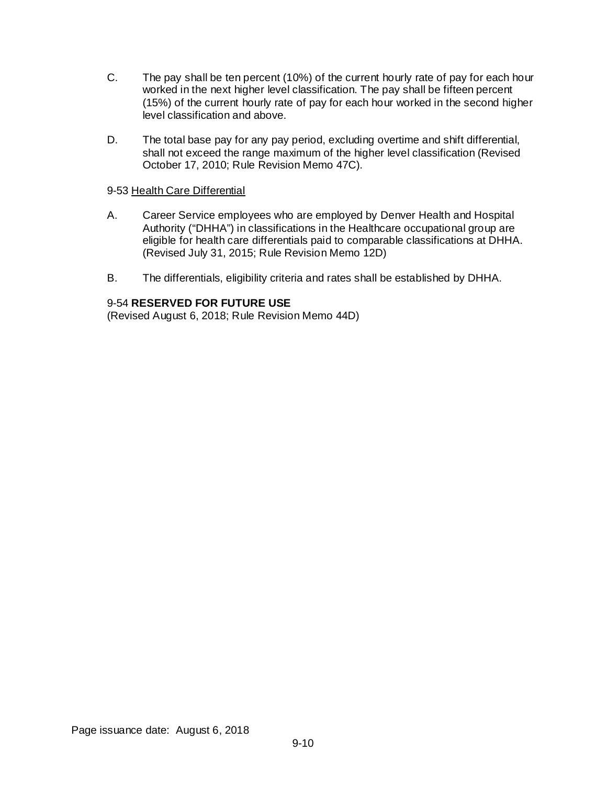- C. The pay shall be ten percent (10%) of the current hourly rate of pay for each hour worked in the next higher level classification. The pay shall be fifteen percent (15%) of the current hourly rate of pay for each hour worked in the second higher level classification and above.
- D. The total base pay for any pay period, excluding overtime and shift differential, shall not exceed the range maximum of the higher level classification (Revised October 17, 2010; Rule Revision Memo 47C).

# 9-53 Health Care Differential

- A. Career Service employees who are employed by Denver Health and Hospital Authority ("DHHA") in classifications in the Healthcare occupational group are eligible for health care differentials paid to comparable classifications at DHHA. (Revised July 31, 2015; Rule Revision Memo 12D)
- B. The differentials, eligibility criteria and rates shall be established by DHHA.

# 9-54 **RESERVED FOR FUTURE USE**

(Revised August 6, 2018; Rule Revision Memo 44D)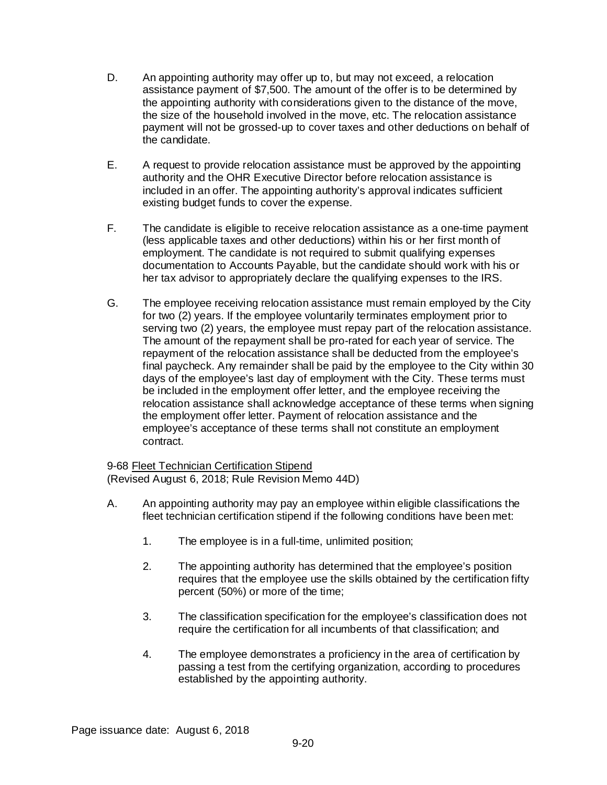- D. An appointing authority may offer up to, but may not exceed, a relocation assistance payment of \$7,500. The amount of the offer is to be determined by the appointing authority with considerations given to the distance of the move, the size of the household involved in the move, etc. The relocation assistance payment will not be grossed-up to cover taxes and other deductions on behalf of the candidate.
- E. A request to provide relocation assistance must be approved by the appointing authority and the OHR Executive Director before relocation assistance is included in an offer. The appointing authority's approval indicates sufficient existing budget funds to cover the expense.
- F. The candidate is eligible to receive relocation assistance as a one-time payment (less applicable taxes and other deductions) within his or her first month of employment. The candidate is not required to submit qualifying expenses documentation to Accounts Payable, but the candidate should work with his or her tax advisor to appropriately declare the qualifying expenses to the IRS.
- G. The employee receiving relocation assistance must remain employed by the City for two (2) years. If the employee voluntarily terminates employment prior to serving two (2) years, the employee must repay part of the relocation assistance. The amount of the repayment shall be pro-rated for each year of service. The repayment of the relocation assistance shall be deducted from the employee's final paycheck. Any remainder shall be paid by the employee to the City within 30 days of the employee's last day of employment with the City. These terms must be included in the employment offer letter, and the employee receiving the relocation assistance shall acknowledge acceptance of these terms when signing the employment offer letter. Payment of relocation assistance and the employee's acceptance of these terms shall not constitute an employment contract.

9-68 Fleet Technician Certification Stipend (Revised August 6, 2018; Rule Revision Memo 44D)

- A. An appointing authority may pay an employee within eligible classifications the fleet technician certification stipend if the following conditions have been met:
	- 1. The employee is in a full-time, unlimited position;
	- 2. The appointing authority has determined that the employee's position requires that the employee use the skills obtained by the certification fifty percent (50%) or more of the time;
	- 3. The classification specification for the employee's classification does not require the certification for all incumbents of that classification; and
	- 4. The employee demonstrates a proficiency in the area of certification by passing a test from the certifying organization, according to procedures established by the appointing authority.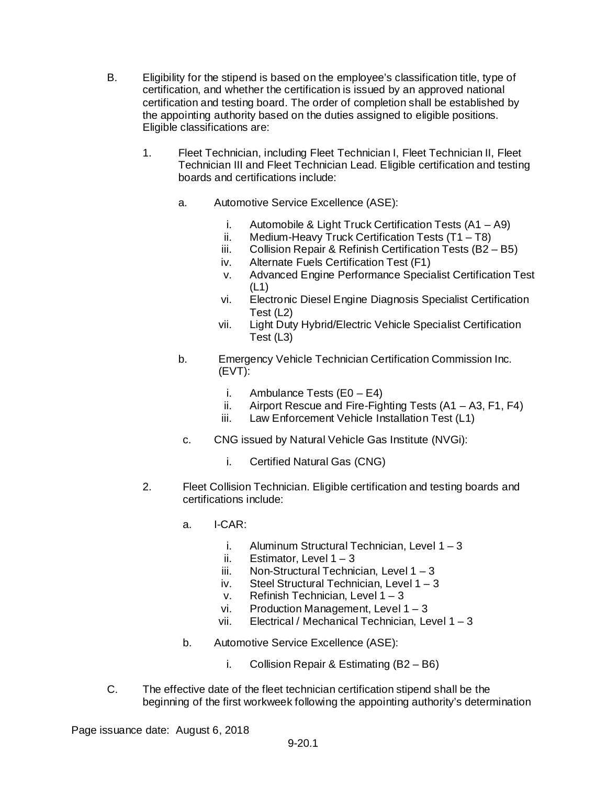- B. Eligibility for the stipend is based on the employee's classification title, type of certification, and whether the certification is issued by an approved national certification and testing board. The order of completion shall be established by the appointing authority based on the duties assigned to eligible positions. Eligible classifications are:
	- 1. Fleet Technician, including Fleet Technician I, Fleet Technician II, Fleet Technician III and Fleet Technician Lead. Eligible certification and testing boards and certifications include:
		- a. Automotive Service Excellence (ASE):
			- i. Automobile & Light Truck Certification Tests (A1 A9)
			- ii. Medium-Heavy Truck Certification Tests (T1 T8)
			- iii. Collision Repair & Refinish Certification Tests (B2 B5)
			- iv. Alternate Fuels Certification Test (F1)
			- v. Advanced Engine Performance Specialist Certification Test (L1)
			- vi. Electronic Diesel Engine Diagnosis Specialist Certification Test (L2)
			- vii. Light Duty Hybrid/Electric Vehicle Specialist Certification Test (L3)
		- b. Emergency Vehicle Technician Certification Commission Inc. (EVT):
			- i. Ambulance Tests  $(EO E4)$
			- ii. Airport Rescue and Fire-Fighting Tests (A1 A3, F1, F4)
			- iii. Law Enforcement Vehicle Installation Test (L1)
		- c. CNG issued by Natural Vehicle Gas Institute (NVGi):
			- i. Certified Natural Gas (CNG)
	- 2. Fleet Collision Technician. Eligible certification and testing boards and certifications include:
		- a. I-CAR:
			- i. Aluminum Structural Technician, Level 1 3
			- ii. Estimator, Level  $1 3$
			- iii. Non-Structural Technician, Level  $1 3$
			- iv. Steel Structural Technician, Level 1 3
			- v. Refinish Technician, Level 1 3
			- vi. Production Management, Level 1 3
			- vii. Electrical / Mechanical Technician, Level 1 3
		- b. Automotive Service Excellence (ASE):
			- i. Collision Repair & Estimating (B2 B6)
- C. The effective date of the fleet technician certification stipend shall be the beginning of the first workweek following the appointing authority's determination

Page issuance date: August 6, 2018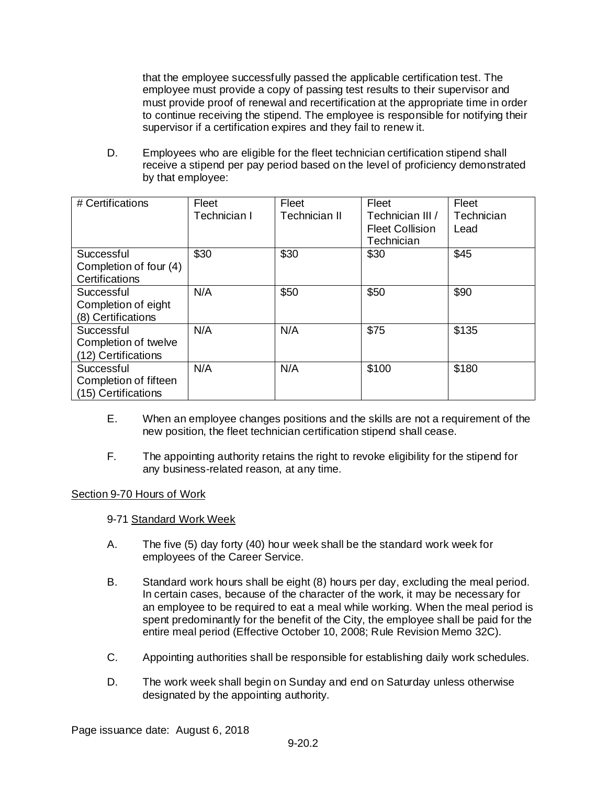that the employee successfully passed the applicable certification test. The employee must provide a copy of passing test results to their supervisor and must provide proof of renewal and recertification at the appropriate time in order to continue receiving the stipend. The employee is responsible for notifying their supervisor if a certification expires and they fail to renew it.

D. Employees who are eligible for the fleet technician certification stipend shall receive a stipend per pay period based on the level of proficiency demonstrated by that employee:

| # Certifications       | Fleet        | Fleet         | Fleet                  | Fleet      |
|------------------------|--------------|---------------|------------------------|------------|
|                        | Technician I | Technician II | Technician III /       | Technician |
|                        |              |               | <b>Fleet Collision</b> | Lead       |
|                        |              |               | Technician             |            |
| Successful             | \$30         | \$30          | \$30                   | \$45       |
| Completion of four (4) |              |               |                        |            |
| Certifications         |              |               |                        |            |
| Successful             | N/A          | \$50          | \$50                   | \$90       |
| Completion of eight    |              |               |                        |            |
| (8) Certifications     |              |               |                        |            |
| Successful             | N/A          | N/A           | \$75                   | \$135      |
| Completion of twelve   |              |               |                        |            |
| (12) Certifications    |              |               |                        |            |
| Successful             | N/A          | N/A           | \$100                  | \$180      |
| Completion of fifteen  |              |               |                        |            |
| (15) Certifications    |              |               |                        |            |

- E. When an employee changes positions and the skills are not a requirement of the new position, the fleet technician certification stipend shall cease.
- F. The appointing authority retains the right to revoke eligibility for the stipend for any business-related reason, at any time.

# Section 9-70 Hours of Work

# 9-71 Standard Work Week

- A. The five (5) day forty (40) hour week shall be the standard work week for employees of the Career Service.
- B. Standard work hours shall be eight (8) hours per day, excluding the meal period. In certain cases, because of the character of the work, it may be necessary for an employee to be required to eat a meal while working. When the meal period is spent predominantly for the benefit of the City, the employee shall be paid for the entire meal period (Effective October 10, 2008; Rule Revision Memo 32C).
- C. Appointing authorities shall be responsible for establishing daily work schedules.
- D. The work week shall begin on Sunday and end on Saturday unless otherwise designated by the appointing authority.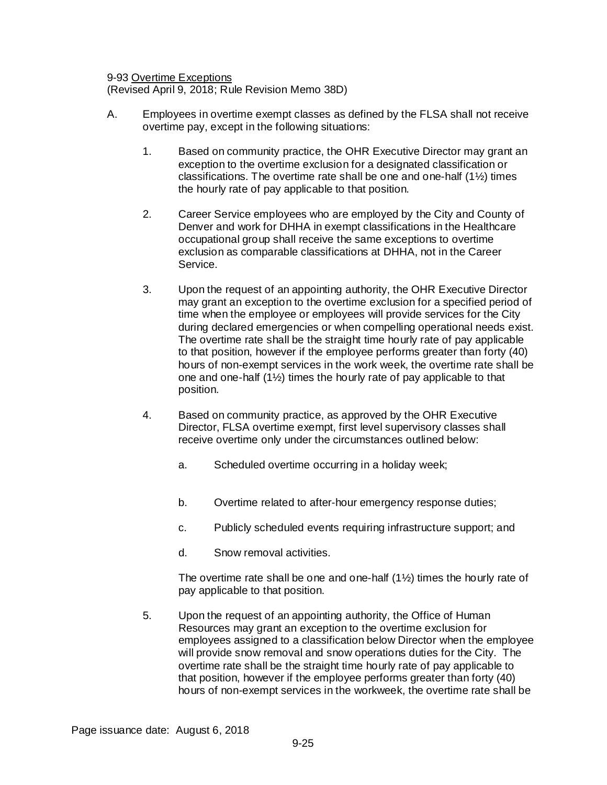9-93 Overtime Exceptions

(Revised April 9, 2018; Rule Revision Memo 38D)

- A. Employees in overtime exempt classes as defined by the FLSA shall not receive overtime pay, except in the following situations:
	- 1. Based on community practice, the OHR Executive Director may grant an exception to the overtime exclusion for a designated classification or classifications. The overtime rate shall be one and one-half (1½) times the hourly rate of pay applicable to that position.
	- 2. Career Service employees who are employed by the City and County of Denver and work for DHHA in exempt classifications in the Healthcare occupational group shall receive the same exceptions to overtime exclusion as comparable classifications at DHHA, not in the Career Service.
	- 3. Upon the request of an appointing authority, the OHR Executive Director may grant an exception to the overtime exclusion for a specified period of time when the employee or employees will provide services for the City during declared emergencies or when compelling operational needs exist. The overtime rate shall be the straight time hourly rate of pay applicable to that position, however if the employee performs greater than forty (40) hours of non-exempt services in the work week, the overtime rate shall be one and one-half (1½) times the hourly rate of pay applicable to that position.
	- 4. Based on community practice, as approved by the OHR Executive Director, FLSA overtime exempt, first level supervisory classes shall receive overtime only under the circumstances outlined below:
		- a. Scheduled overtime occurring in a holiday week;
		- b. Overtime related to after-hour emergency response duties;
		- c. Publicly scheduled events requiring infrastructure support; and
		- d. Snow removal activities.

The overtime rate shall be one and one-half  $(1\frac{1}{2})$  times the hourly rate of pay applicable to that position.

5. Upon the request of an appointing authority, the Office of Human Resources may grant an exception to the overtime exclusion for employees assigned to a classification below Director when the employee will provide snow removal and snow operations duties for the City. The overtime rate shall be the straight time hourly rate of pay applicable to that position, however if the employee performs greater than forty (40) hours of non-exempt services in the workweek, the overtime rate shall be